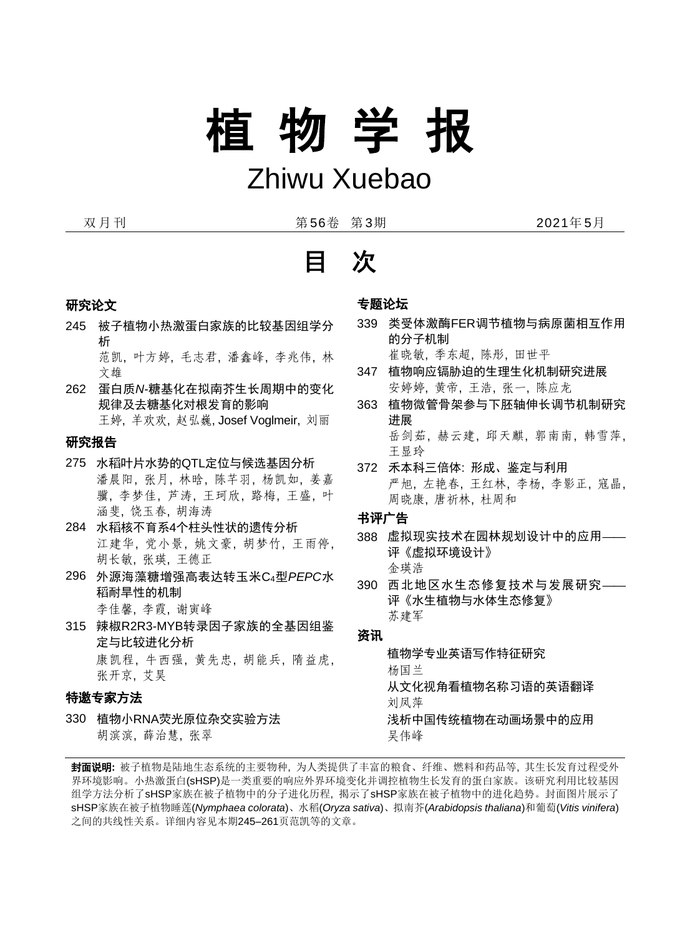# 植 物 学 报

### Zhiwu Xuebao

双月刊 第56卷 第3期 2021年5月

### 研究论文

245 被子植物小热激蛋白家族的比较基因组学分 析

范凯, 叶方婷, 毛志君, 潘鑫峰, 李兆伟, 林 文雄

262 蛋白质*N*-糖基化在拟南芥生长周期中的变化 规律及去糖基化对根发育的影响 王婷, 羊欢欢, 赵弘巍, Josef Voglmeir, 刘丽

### 研究报告

- 275 水稻叶片水势的QTL[定位与候选基因分析](https://kns.cnki.net/KNS8/Detail?sfield=fn&QueryID=0&CurRec=2&recid=&FileName=ZJSZ202003011&DbName=CJFDLAST2020&DbCode=CJFD&yx=&pr=&URLID=) 潘晨阳, 张月, 林晗, 陈芊羽, 杨凯如, 姜嘉 骥, 李梦佳, 芦涛, 王珂欣, 路梅, 王盛, 叶 涵斐, 饶玉春, 胡海涛
- 284 水稻核不育系4个柱头性状的遗传分析 江建华, 党小景, 姚文豪, 胡梦竹, 王雨停, 胡长敏, 张瑛, 王德正
- 296 外源海藻糖增强高表达转玉米C4型*PEPC*水 稻耐旱性的机制 李佳馨, 李霞, 谢寅峰
- 315 辣椒R2R3-MYB转录因子家族的全基因组鉴 定与比较进化分析 康凯程, 牛西强, 黄先忠, 胡能兵, 隋益虎, 张开京, 艾昊

### 特邀专家方法

330 植物小RNA荧光原位杂交实验方法 胡滨滨, 薛治慧, 张翠

### 专题论坛

- 339 类受体激酶FER调节植物与病原菌相互作用 的分子机制 崔晓敏, 季东超, 陈彤, 田世平
- 347 植物响应镉胁迫的生理生化机制研究进展 安婷婷, 黄帝, 王浩, 张一, 陈应龙
- 363 植物微管骨架参与下胚轴伸长调节机制研究 进展 岳剑茹, 赫云建, 邱天麒, 郭南南, 韩雪萍, 王显玲
- 372 禾本科三倍体: 形成、鉴定与利用 严旭, 左艳春, 王红林, 李杨, 李影正, 寇晶, 周晓康, 唐祈林, 杜周和

书评广告

- 388 虚拟现实技术在园林规划设计中的应用**——** 评《虚拟环境设计》 金瑛浩
- 390 西北地区水生态修复技术与发展研究**——** 评《水生植物与水体生态修复》 苏建军

### 资讯

植物学专业英语写作特征研究 杨国兰 从文化视角看植物名称习语的英语翻译 刘凤萍 浅析中国传统植物在动画场景中的应用 吴伟峰

封面说明**:** 被子植物是陆地生态系统的主要物种, 为人类提供了丰富的粮食、纤维、燃料和药品等, 其生长发育过程受外 界环境影响。小热激蛋白(sHSP)是一类重要的响应外界环境变化并调控植物生长发育的蛋白家族。该研究利用比较基因 组学方法分析了sHSP家族在被子植物中的分子进化历程, 揭示了sHSP家族在被子植物中的进化趋势。封面图片展示了 sHSP家族在被子植物睡莲(*Nymphaea colorata*)、水稻(*Oryza sativa*)、拟南芥(*Arabidopsis thaliana*)和葡萄(*Vitis vinifera*) 之间的共线性关系。详细内容见本期245–261页范凯等的文章。